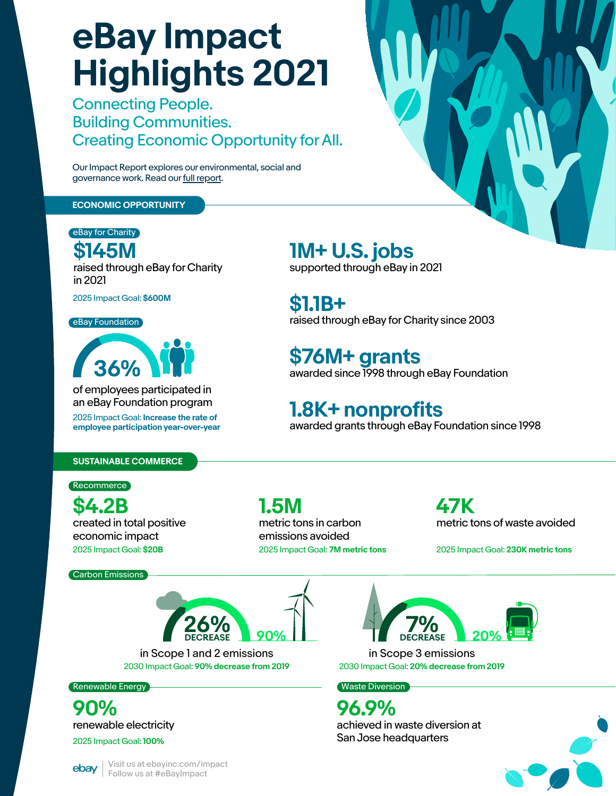**90% 26%**



#### **ECONOMIC OPPORTUNITY**

eBay for Charity

of employees participated in an eBay Foundation program

2025 Impact Goal: **Increase the rate of employee participation year-over-year**



**\$145M**<br>raised through eBay for Charity in 2021

### **1M+ U.S. jobs** supported through eBay in 2021

**\$1.1B+** raised through eBay for Charity since 2003

**\$76M+ grants** awarded since 1998 through eBay Foundation

## **1.8K+ nonprofits** awarded grants through eBay Foundation since 1998

Recommerce

2025 Impact Goal: **\$600M**

**eBay Foundation** 

# **eBay Impact Highlights 2021**

in Scope 1 and 2 emissions in Scope 3 emissions 2030 Impact Goal: **90% decrease from 2019** 2030 Impact Goal: **20% decrease from 2019**

### Renewable Energy **Waste Diversion** Number 2014 1997 Waste Diversion

Connecting People. Building Communities. Creating Economic Opportunity for All.

Our Impact Report explores our environmental, social and governance work. Read our [full report.](https://static.ebayinc.com/assets/Uploads/Documents/eBay-Impact-2021-Report.pdf)

> Visit us at ebayinc.com/impact Follow us at #eBayImpact

**\$4.2B** created in total positive economic impact

**1.5M** metric tons in carbon emissions avoided

**47K** metric tons of waste avoided

2025 Impact Goal: **\$20B** 2025 Impact Goal: **7M metric tons** 2025 Impact Goal: **230K metric tons**

**90%** renewable electricity

2025 Impact Goal: **100%**



**96.9%** achieved in waste diversion at

San Jose headquarters